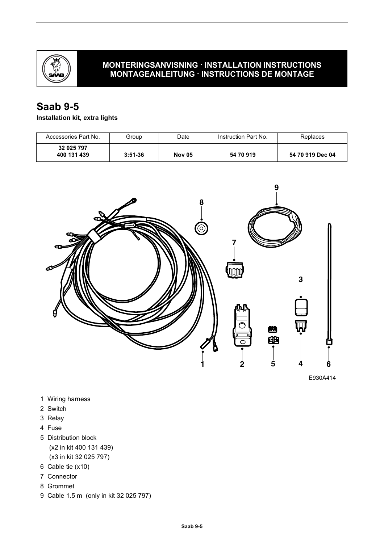

#### **MONTERINGSANVISNING · INSTALLATION INSTRUCTIONS MONTAGEANLEITUNG · INSTRUCTIONS DE MONTAGE**

# **Saab 9-5**

## **Installation kit, extra lights**

| Accessories Part No.      | Group     | Date          | Instruction Part No. | Replaces         |
|---------------------------|-----------|---------------|----------------------|------------------|
| 32 025 797<br>400 131 439 | $3:51-36$ | <b>Nov 05</b> | 54 70 919            | 54 70 919 Dec 04 |



E930A414

- 1 Wiring harness
- 2 Switch
- 3 Relay
- 4 Fuse
- 5 Distribution block (x2 in kit 400 131 439) (x3 in kit 32 025 797)
- 6 Cable tie (x10)
- 7 Connector
- 8 Grommet
- 9 Cable 1.5 m (only in kit 32 025 797)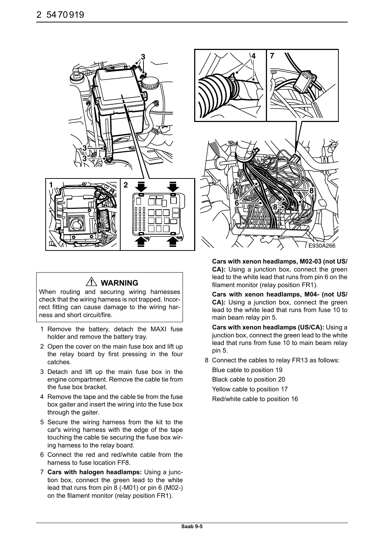

## **WARNING**

When routing and securing wiring harnesses check that the wiring harness is not trapped. Incorrect fitting can cause damage to the wiring harness and short circuit/fire.

- 1 Remove the battery, detach the MAXI fuse holder and remove the battery tray.
- 2 Open the cover on the main fuse box and lift up the relay board by first pressing in the four catches.
- 3 Detach and lift up the main fuse box in the engine compartment. Remove the cable tie from the fuse box bracket.
- 4 Remove the tape and the cable tie from the fuse box gaiter and insert the wiring into the fuse box through the gaiter.
- 5 Secure the wiring harness from the kit to the car's wiring harness with the edge of the tape touching the cable tie securing the fuse box wiring harness to the relay board.
- 6 Connect the red and red/white cable from the harness to fuse location FF8.
- 7 **Cars with halogen headlamps:** Using a junction box, connect the green lead to the white lead that runs from pin 8 (-M01) or pin 6 (M02-) on the filament monitor (relay position FR1).

**Cars with xenon headlamps, M02-03 (not US/ CA):** Using a junction box, connect the green lead to the white lead that runs from pin 6 on the filament monitor (relay position FR1).

**Cars with xenon headlamps, M04- (not US/ CA):** Using a junction box, connect the green lead to the white lead that runs from fuse 10 to main beam relay pin 5.

**Cars with xenon headlamps (US/CA):** Using a junction box, connect the green lead to the white lead that runs from fuse 10 to main beam relay pin 5.

8 Connect the cables to relay FR13 as follows:

Blue cable to position 19 Black cable to position 20 Yellow cable to position 17 Red/white cable to position 16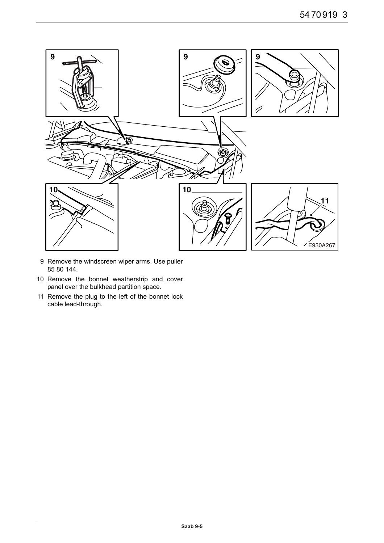

- 9 Remove the windscreen wiper arms. Use puller 85 80 144.
- 10 Remove the bonnet weatherstrip and cover panel over the bulkhead partition space.
- 11 Remove the plug to the left of the bonnet lock cable lead-through.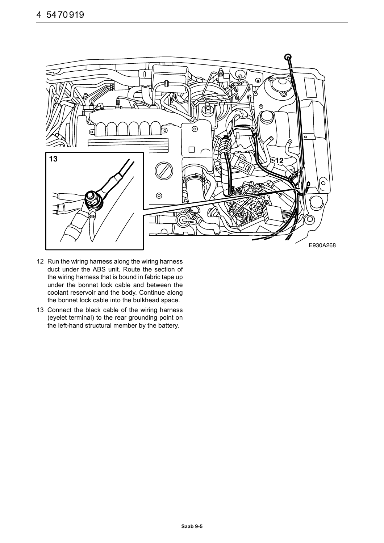

- 12 Run the wiring harness along the wiring harness duct under the ABS unit. Route the section of the wiring harness that is bound in fabric tape up under the bonnet lock cable and between the coolant reservoir and the body. Continue along the bonnet lock cable into the bulkhead space.
- 13 Connect the black cable of the wiring harness (eyelet terminal) to the rear grounding point on the left-hand structural member by the battery.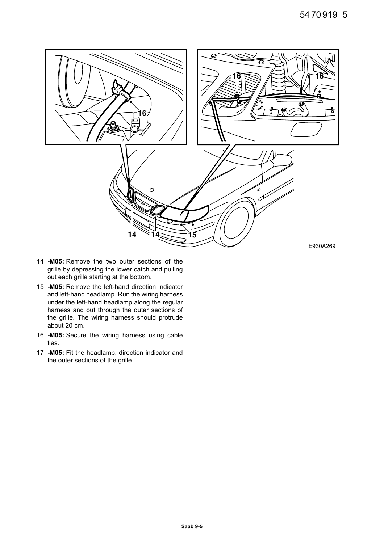

- 14 **-M05:** Remove the two outer sections of the grille by depressing the lower catch and pulling out each grille starting at the bottom.
- 15 **-M05:** Remove the left-hand direction indicator and left-hand headlamp. Run the wiring harness under the left-hand headlamp along the regular harness and out through the outer sections of the grille. The wiring harness should protrude about 20 cm.
- 16 **-M05:** Secure the wiring harness using cable ties.
- 17 **-M05:** Fit the headlamp, direction indicator and the outer sections of the grille.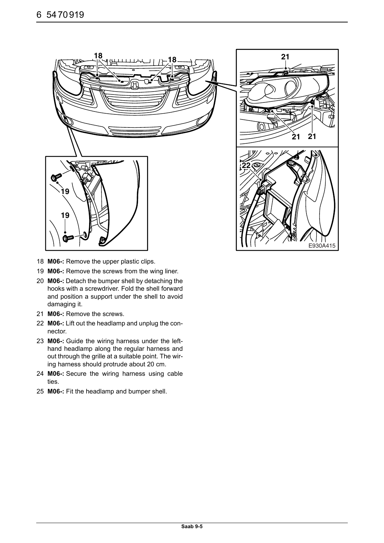



- 18 **M06-:** Remove the upper plastic clips.
- 19 **M06-:** Remove the screws from the wing liner.
- 20 **M06-:** Detach the bumper shell by detaching the hooks with a screwdriver. Fold the shell forward and position a support under the shell to avoid damaging it.
- 21 **M06-:** Remove the screws.
- 22 **M06-:** Lift out the headlamp and unplug the connector.
- 23 **M06-:** Guide the wiring harness under the lefthand headlamp along the regular harness and out through the grille at a suitable point. The wiring harness should protrude about 20 cm.
- 24 **M06-:** Secure the wiring harness using cable ties.
- 25 **M06-:** Fit the headlamp and bumper shell.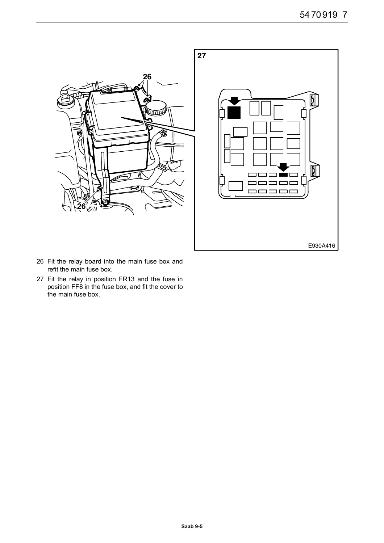

- 26 Fit the relay board into the main fuse box and refit the main fuse box.
- 27 Fit the relay in position FR13 and the fuse in position FF8 in the fuse box, and fit the cover to the main fuse box.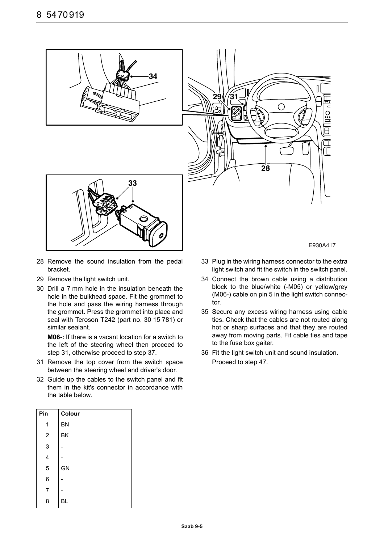

- 28 Remove the sound insulation from the pedal bracket.
- 29 Remove the light switch unit.
- 30 Drill a 7 mm hole in the insulation beneath the hole in the bulkhead space. Fit the grommet to the hole and pass the wiring harness through the grommet. Press the grommet into place and seal with Teroson T242 (part no. 30 15 781) or similar sealant.

**M06-:** If there is a vacant location for a switch to the left of the steering wheel then proceed to step 31, otherwise proceed to step 37.

- 31 Remove the top cover from the switch space between the steering wheel and driver's door.
- 32 Guide up the cables to the switch panel and fit them in the kit's connector in accordance with the table below.

| E930A417 |
|----------|
|          |

- 33 Plug in the wiring harness connector to the extra light switch and fit the switch in the switch panel.
- 34 Connect the brown cable using a distribution block to the blue/white (-M05) or yellow/grey (M06-) cable on pin 5 in the light switch connector.
- 35 Secure any excess wiring harness using cable ties. Check that the cables are not routed along hot or sharp surfaces and that they are routed away from moving parts. Fit cable ties and tape to the fuse box gaiter.
- 36 Fit the light switch unit and sound insulation. Proceed to step 47.

| Pin            | Colour    |
|----------------|-----------|
| 1              | <b>BN</b> |
| $\overline{c}$ | ΒK        |
| 3              |           |
| 4              |           |
| 5              | GN        |
| 6              |           |
| 7              |           |
| 8              | ВL        |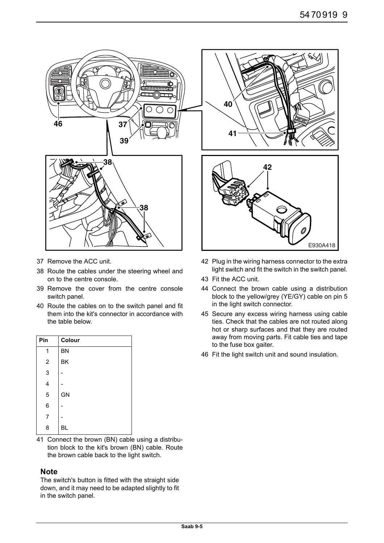

- 37 Remove the ACC unit.
- 38 Route the cables under the steering wheel and on to the centre console.
- 39 Remove the cover from the centre console switch panel.
- 40 Route the cables on to the switch panel and fit them into the kit's connector in accordance with the table below.

| Pin         | Colour    |
|-------------|-----------|
| 1           | <b>BN</b> |
| $\mathbf 2$ | ΒK        |
| 3           |           |
| 4           |           |
| 5           | GN        |
| 6           |           |
| 7           |           |
| 8           | ВL        |

41 Connect the brown (BN) cable using a distribution block to the kit's brown (BN) cable. Route the brown cable back to the light switch.

#### **Note**

The switch's button is fitted with the straight side down, and it may need to be adapted slightly to fit in the switch panel.

- 42 Plug in the wiring harness connector to the extra light switch and fit the switch in the switch panel.
- 43 Fit the ACC unit.
- 44 Connect the brown cable using a distribution block to the yellow/grey (YE/GY) cable on pin 5 in the light switch connector.
- 45 Secure any excess wiring harness using cable ties. Check that the cables are not routed along hot or sharp surfaces and that they are routed away from moving parts. Fit cable ties and tape to the fuse box gaiter.
- 46 Fit the light switch unit and sound insulation.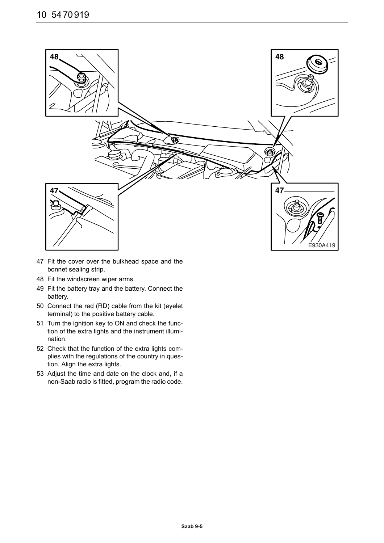

- 47 Fit the cover over the bulkhead space and the bonnet sealing strip.
- 48 Fit the windscreen wiper arms.
- 49 Fit the battery tray and the battery. Connect the battery.
- 50 Connect the red (RD) cable from the kit (eyelet terminal) to the positive battery cable.
- 51 Turn the ignition key to ON and check the function of the extra lights and the instrument illumination.
- 52 Check that the function of the extra lights complies with the regulations of the country in question. Align the extra lights.
- 53 Adjust the time and date on the clock and, if a non-Saab radio is fitted, program the radio code.